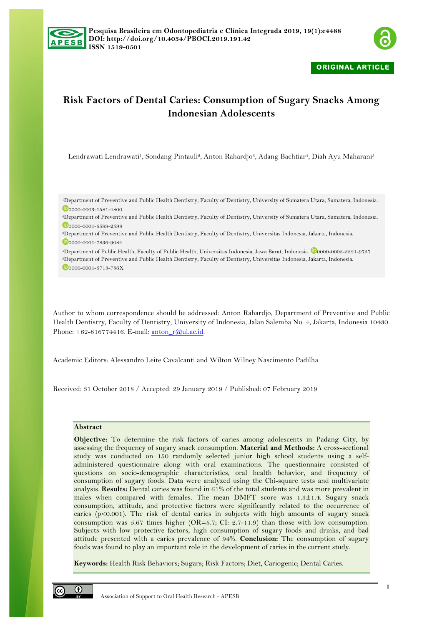



**ORIGINAL ARTICLE** 

# **Risk Factors of Dental Caries: Consumption of Sugary Snacks Among Indonesian Adolescents**

Lendrawati Lendrawati<sup>1</sup>, Sondang Pintauli<sup>2</sup>, Anton Rahardjo<sup>3</sup>, Adang Bachtiar<sup>4</sup>, Diah Ayu Maharani<sup>5</sup>

1Department of Preventive and Public Health Dentistry, Faculty of Dentistry, University of Sumatera Utara, Sumatera, Indonesia. 0000-0003-1581-4800

2Department of Preventive and Public Health Dentistry, Faculty of Dentistry, University of Sumatera Utara, Sumatera, Indonesia.  $D_{0000-0001-6599-2598}$ 

3Department of Preventive and Public Health Dentistry, Faculty of Dentistry, Universitas Indonesia, Jakarta, Indonesia.

00000-0001-7836-9084

4Department of Public Health, Faculty of Public Health, Universitas Indonesia, Jawa Barat, Indonesia. 0000-0003-3321-9757 5Department of Preventive and Public Health Dentistry, Faculty of Dentistry, Universitas Indonesia, Jakarta, Indonesia.

0000-0001-6713-786X

Author to whom correspondence should be addressed: Anton Rahardjo, Department of Preventive and Public Health Dentistry, Faculty of Dentistry, University of Indonesia, Jalan Salemba No. 4, Jakarta, Indonesia 10430. Phone:  $+62-816774416$ . E-mail: anton\_r@ui.ac.id.

Academic Editors: Alessandro Leite Cavalcanti and Wilton Wilney Nascimento Padilha

Received: 31 October 2018 / Accepted: 29 January 2019 / Published: 07 February 2019

# **Abstract**

**Objective:** To determine the risk factors of caries among adolescents in Padang City, by assessing the frequency of sugary snack consumption. **Material and Methods:** A cross-sectional study was conducted on 150 randomly selected junior high school students using a selfadministered questionnaire along with oral examinations. The questionnaire consisted of questions on socio-demographic characteristics, oral health behavior, and frequency of consumption of sugary foods. Data were analyzed using the Chi-square tests and multivariate analysis. **Results:** Dental caries was found in 61% of the total students and was more prevalent in males when compared with females. The mean DMFT score was 1.3±1.4. Sugary snack consumption, attitude, and protective factors were significantly related to the occurrence of caries  $(p<0.001)$ . The risk of dental caries in subjects with high amounts of sugary snack consumption was 5.67 times higher (OR=5.7; CI: 2.7-11.9) than those with low consumption. Subjects with low protective factors, high consumption of sugary foods and drinks, and bad attitude presented with a caries prevalence of 94%. **Conclusion:** The consumption of sugary foods was found to play an important role in the development of caries in the current study.

**Keywords:** Health Risk Behaviors; Sugars; Risk Factors; Diet, Cariogenic; Dental Caries.

 $\bf \bf 0$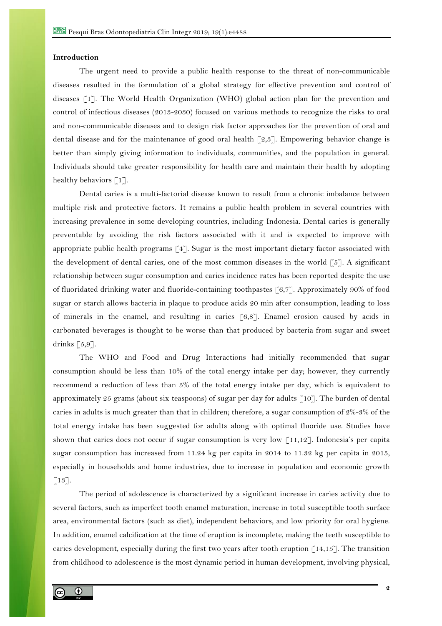#### **Introduction**

The urgent need to provide a public health response to the threat of non-communicable diseases resulted in the formulation of a global strategy for effective prevention and control of diseases [1]. The World Health Organization (WHO) global action plan for the prevention and control of infectious diseases (2013-2030) focused on various methods to recognize the risks to oral and non-communicable diseases and to design risk factor approaches for the prevention of oral and dental disease and for the maintenance of good oral health [2,3]. Empowering behavior change is better than simply giving information to individuals, communities, and the population in general. Individuals should take greater responsibility for health care and maintain their health by adopting healthy behaviors [1].

Dental caries is a multi-factorial disease known to result from a chronic imbalance between multiple risk and protective factors. It remains a public health problem in several countries with increasing prevalence in some developing countries, including Indonesia. Dental caries is generally preventable by avoiding the risk factors associated with it and is expected to improve with appropriate public health programs [4]. Sugar is the most important dietary factor associated with the development of dental caries, one of the most common diseases in the world  $[5]$ . A significant relationship between sugar consumption and caries incidence rates has been reported despite the use of fluoridated drinking water and fluoride-containing toothpastes [6,7]. Approximately 90% of food sugar or starch allows bacteria in plaque to produce acids 20 min after consumption, leading to loss of minerals in the enamel, and resulting in caries [6,8]. Enamel erosion caused by acids in carbonated beverages is thought to be worse than that produced by bacteria from sugar and sweet drinks  $[5,9]$ .

The WHO and Food and Drug Interactions had initially recommended that sugar consumption should be less than 10% of the total energy intake per day; however, they currently recommend a reduction of less than 5% of the total energy intake per day, which is equivalent to approximately 25 grams (about six teaspoons) of sugar per day for adults  $\lceil 10 \rceil$ . The burden of dental caries in adults is much greater than that in children; therefore, a sugar consumption of 2%-3% of the total energy intake has been suggested for adults along with optimal fluoride use. Studies have shown that caries does not occur if sugar consumption is very low  $\lceil 11,12 \rceil$ . Indonesia's per capita sugar consumption has increased from 11.24 kg per capita in 2014 to 11.32 kg per capita in 2015, especially in households and home industries, due to increase in population and economic growth  $\lceil 13 \rceil$ .

The period of adolescence is characterized by a significant increase in caries activity due to several factors, such as imperfect tooth enamel maturation, increase in total susceptible tooth surface area, environmental factors (such as diet), independent behaviors, and low priority for oral hygiene. In addition, enamel calcification at the time of eruption is incomplete, making the teeth susceptible to caries development, especially during the first two years after tooth eruption  $[14,15]$ . The transition from childhood to adolescence is the most dynamic period in human development, involving physical,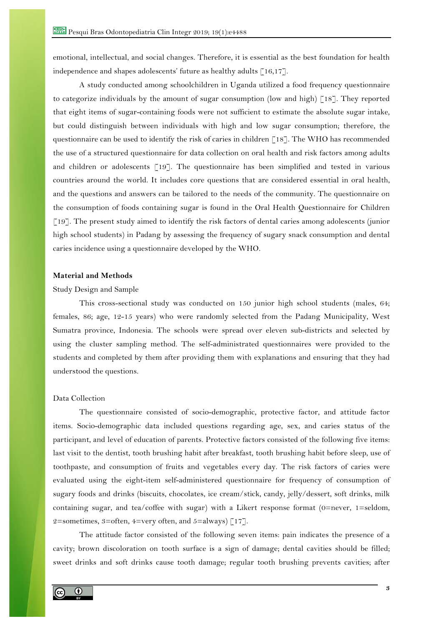emotional, intellectual, and social changes. Therefore, it is essential as the best foundation for health independence and shapes adolescents' future as healthy adults [16,17].

A study conducted among schoolchildren in Uganda utilized a food frequency questionnaire to categorize individuals by the amount of sugar consumption (low and high)  $\lceil 18 \rceil$ . They reported that eight items of sugar-containing foods were not sufficient to estimate the absolute sugar intake, but could distinguish between individuals with high and low sugar consumption; therefore, the questionnaire can be used to identify the risk of caries in children [18]. The WHO has recommended the use of a structured questionnaire for data collection on oral health and risk factors among adults and children or adolescents [19]. The questionnaire has been simplified and tested in various countries around the world. It includes core questions that are considered essential in oral health, and the questions and answers can be tailored to the needs of the community. The questionnaire on the consumption of foods containing sugar is found in the Oral Health Questionnaire for Children [19]. The present study aimed to identify the risk factors of dental caries among adolescents (junior high school students) in Padang by assessing the frequency of sugary snack consumption and dental caries incidence using a questionnaire developed by the WHO.

## **Material and Methods**

#### Study Design and Sample

This cross-sectional study was conducted on 150 junior high school students (males, 64; females, 86; age, 12-15 years) who were randomly selected from the Padang Municipality, West Sumatra province, Indonesia. The schools were spread over eleven sub-districts and selected by using the cluster sampling method. The self-administrated questionnaires were provided to the students and completed by them after providing them with explanations and ensuring that they had understood the questions.

#### Data Collection

The questionnaire consisted of socio-demographic, protective factor, and attitude factor items. Socio-demographic data included questions regarding age, sex, and caries status of the participant, and level of education of parents. Protective factors consisted of the following five items: last visit to the dentist, tooth brushing habit after breakfast, tooth brushing habit before sleep, use of toothpaste, and consumption of fruits and vegetables every day. The risk factors of caries were evaluated using the eight-item self-administered questionnaire for frequency of consumption of sugary foods and drinks (biscuits, chocolates, ice cream/stick, candy, jelly/dessert, soft drinks, milk containing sugar, and tea/coffee with sugar) with a Likert response format (0=never, 1=seldom, 2=sometimes, 3=often, 4=very often, and 5=always)  $\lceil 17 \rceil$ .

The attitude factor consisted of the following seven items: pain indicates the presence of a cavity; brown discoloration on tooth surface is a sign of damage; dental cavities should be filled; sweet drinks and soft drinks cause tooth damage; regular tooth brushing prevents cavities; after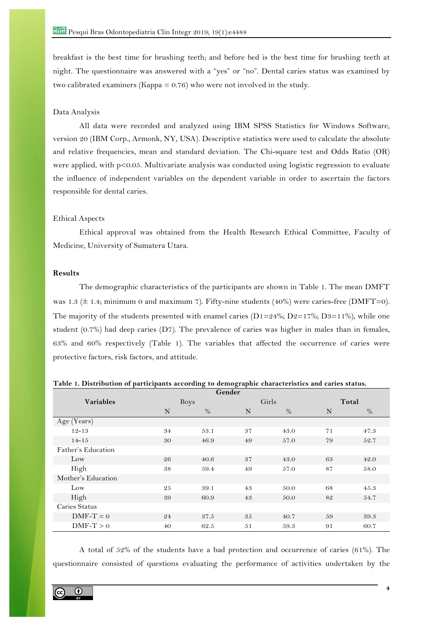breakfast is the best time for brushing teeth; and before bed is the best time for brushing teeth at night. The questionnaire was answered with a "yes" or "no". Dental caries status was examined by two calibrated examiners (Kappa = 0.76) who were not involved in the study.

## Data Analysis

All data were recorded and analyzed using IBM SPSS Statistics for Windows Software, version 20 (IBM Corp., Armonk, NY, USA). Descriptive statistics were used to calculate the absolute and relative frequencies, mean and standard deviation. The Chi-square test and Odds Ratio (OR) were applied, with p<0.05. Multivariate analysis was conducted using logistic regression to evaluate the influence of independent variables on the dependent variable in order to ascertain the factors responsible for dental caries.

#### Ethical Aspects

Ethical approval was obtained from the Health Research Ethical Committee, Faculty of Medicine, University of Sumatera Utara.

## **Results**

The demographic characteristics of the participants are shown in Table 1. The mean DMFT was 1.3 ( $\pm$  1.4; minimum 0 and maximum 7). Fifty-nine students (40%) were caries-free (DMFT=0). The majority of the students presented with enamel caries ( $D1=24\%$ ;  $D2=17\%$ ;  $D3=11\%$ ), while one student (0.7%) had deep caries (D7). The prevalence of caries was higher in males than in females, 63% and 60% respectively (Table 1). The variables that affected the occurrence of caries were protective factors, risk factors, and attitude.

| Gender             |    |             |    |       |       |      |  |  |  |
|--------------------|----|-------------|----|-------|-------|------|--|--|--|
| <b>Variables</b>   |    | <b>Boys</b> |    | Girls | Total |      |  |  |  |
|                    | N  | $\%$        | N  | $\%$  | N     | $\%$ |  |  |  |
| Age (Years)        |    |             |    |       |       |      |  |  |  |
| $12 - 13$          | 34 | 53.1        | 37 | 43.0  | 71    | 47.3 |  |  |  |
| $14 - 15$          | 30 | 46.9        | 49 | 57.0  | 79    | 52.7 |  |  |  |
| Father's Education |    |             |    |       |       |      |  |  |  |
| Low                | 26 | 40.6        | 37 | 43.0  | 63    | 42.0 |  |  |  |
| High               | 38 | 59.4        | 49 | 57.0  | 87    | 58.0 |  |  |  |
| Mother's Education |    |             |    |       |       |      |  |  |  |
| Low                | 25 | 39.1        | 43 | 50.0  | 68    | 45.3 |  |  |  |
| High               | 39 | 60.9        | 43 | 50.0  | 82    | 54.7 |  |  |  |
| Caries Status      |    |             |    |       |       |      |  |  |  |
| $DMF-T=0$          | 24 | 37.5        | 35 | 40.7  | 59    | 39.3 |  |  |  |
| $DMF-T > 0$        | 40 | 62.5        | 51 | 59.3  | 91    | 60.7 |  |  |  |

**Table 1. Distribution of participants according to demographic characteristics and caries status.**

A total of 52% of the students have a bad protection and occurrence of caries (61%). The questionnaire consisted of questions evaluating the performance of activities undertaken by the

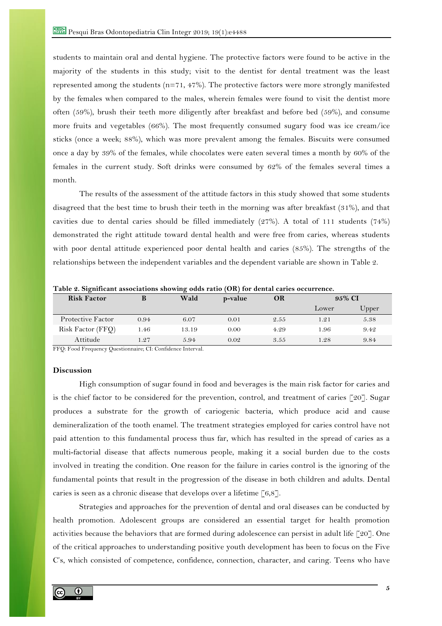students to maintain oral and dental hygiene. The protective factors were found to be active in the majority of the students in this study; visit to the dentist for dental treatment was the least represented among the students (n=71, 47%). The protective factors were more strongly manifested by the females when compared to the males, wherein females were found to visit the dentist more often (59%), brush their teeth more diligently after breakfast and before bed (59%), and consume more fruits and vegetables (66%). The most frequently consumed sugary food was ice cream/ice sticks (once a week; 88%), which was more prevalent among the females. Biscuits were consumed once a day by 39% of the females, while chocolates were eaten several times a month by 60% of the females in the current study. Soft drinks were consumed by 62% of the females several times a month.

The results of the assessment of the attitude factors in this study showed that some students disagreed that the best time to brush their teeth in the morning was after breakfast (31%), and that cavities due to dental caries should be filled immediately (27%). A total of 111 students (74%) demonstrated the right attitude toward dental health and were free from caries, whereas students with poor dental attitude experienced poor dental health and caries (85%). The strengths of the relationships between the independent variables and the dependent variable are shown in Table 2.

| <b>Risk Factor</b> | Ď    | Wald  | p-value | OR   | 95% CI |       |
|--------------------|------|-------|---------|------|--------|-------|
|                    |      |       |         |      | Lower  | Upper |
| Protective Factor  | 0.94 | 6.07  | 0.01    | 2.55 | 1.21   | 5.38  |
| Risk Factor (FFQ)  | 1.46 | 13.19 | 0.00    | 4.29 | 1.96   | 9.42  |
| Attitude           | 1.27 | 5.94  | 0.02    | 3.55 | 1.28   | 9.84  |

**Table 2. Significant associations showing odds ratio (OR) for dental caries occurrence.**

FFQ: Food Frequency Questionnaire; CI: Confidence Interval.

# **Discussion**

High consumption of sugar found in food and beverages is the main risk factor for caries and is the chief factor to be considered for the prevention, control, and treatment of caries [20]. Sugar produces a substrate for the growth of cariogenic bacteria, which produce acid and cause demineralization of the tooth enamel. The treatment strategies employed for caries control have not paid attention to this fundamental process thus far, which has resulted in the spread of caries as a multi-factorial disease that affects numerous people, making it a social burden due to the costs involved in treating the condition. One reason for the failure in caries control is the ignoring of the fundamental points that result in the progression of the disease in both children and adults. Dental caries is seen as a chronic disease that develops over a lifetime  $\lceil 6,8 \rceil$ .

Strategies and approaches for the prevention of dental and oral diseases can be conducted by health promotion. Adolescent groups are considered an essential target for health promotion activities because the behaviors that are formed during adolescence can persist in adult life [20]. One of the critical approaches to understanding positive youth development has been to focus on the Five C's, which consisted of competence, confidence, connection, character, and caring. Teens who have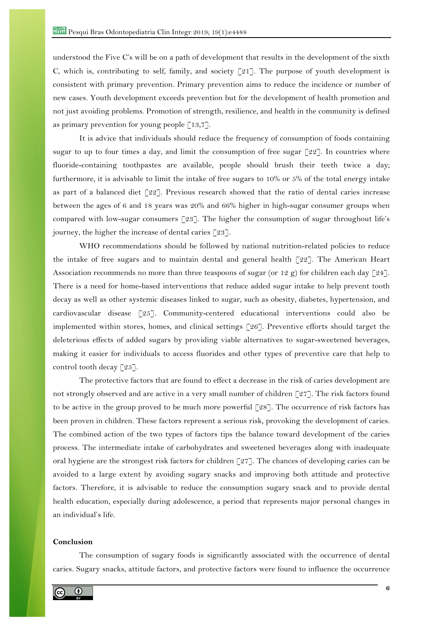understood the Five C's will be on a path of development that results in the development of the sixth C, which is, contributing to self, family, and society  $\lceil 21 \rceil$ . The purpose of youth development is consistent with primary prevention. Primary prevention aims to reduce the incidence or number of new cases. Youth development exceeds prevention but for the development of health promotion and not just avoiding problems. Promotion of strength, resilience, and health in the community is defined as primary prevention for young people  $\lceil 13,7 \rceil$ .

It is advice that individuals should reduce the frequency of consumption of foods containing sugar to up to four times a day, and limit the consumption of free sugar  $[22]$ . In countries where fluoride-containing toothpastes are available, people should brush their teeth twice a day; furthermore, it is advisable to limit the intake of free sugars to 10% or 5% of the total energy intake as part of a balanced diet  $\lceil 22 \rceil$ . Previous research showed that the ratio of dental caries increase between the ages of 6 and 18 years was 20% and 66% higher in high-sugar consumer groups when compared with low-sugar consumers [23]. The higher the consumption of sugar throughout life's journey, the higher the increase of dental caries [23].

WHO recommendations should be followed by national nutrition-related policies to reduce the intake of free sugars and to maintain dental and general health [22]. The American Heart Association recommends no more than three teaspoons of sugar (or 12 g) for children each day [24]. There is a need for home-based interventions that reduce added sugar intake to help prevent tooth decay as well as other systemic diseases linked to sugar, such as obesity, diabetes, hypertension, and cardiovascular disease [25]. Community-centered educational interventions could also be implemented within stores, homes, and clinical settings [26]. Preventive efforts should target the deleterious effects of added sugars by providing viable alternatives to sugar-sweetened beverages, making it easier for individuals to access fluorides and other types of preventive care that help to control tooth decay [25].

The protective factors that are found to effect a decrease in the risk of caries development are not strongly observed and are active in a very small number of children [27]. The risk factors found to be active in the group proved to be much more powerful [28]. The occurrence of risk factors has been proven in children. These factors represent a serious risk, provoking the development of caries. The combined action of the two types of factors tips the balance toward development of the caries process. The intermediate intake of carbohydrates and sweetened beverages along with inadequate oral hygiene are the strongest risk factors for children [27]. The chances of developing caries can be avoided to a large extent by avoiding sugary snacks and improving both attitude and protective factors. Therefore, it is advisable to reduce the consumption sugary snack and to provide dental health education, especially during adolescence, a period that represents major personal changes in an individual's life.

#### **Conclusion**

The consumption of sugary foods is significantly associated with the occurrence of dental caries. Sugary snacks, attitude factors, and protective factors were found to influence the occurrence

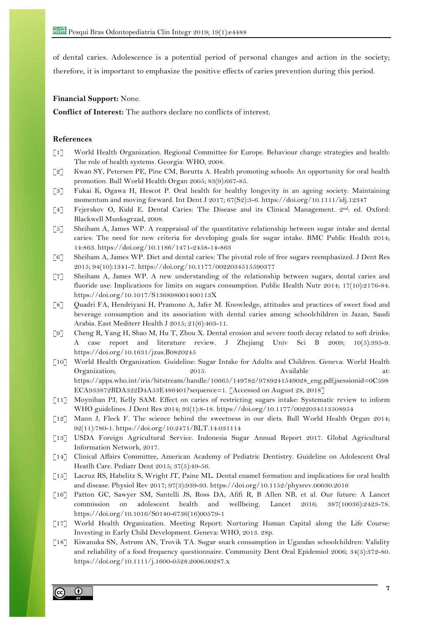of dental caries. Adolescence is a potential period of personal changes and action in the society; therefore, it is important to emphasize the positive effects of caries prevention during this period.

### **Financial Support:** None.

**Conflict of Interest:** The authors declare no conflicts of interest.

#### **References**

- [1] World Health Organization. Regional Committee for Europe. Behaviour change strategies and health: The role of health systems. Georgia: WHO, 2008.
- [2] Kwan SY, Petersen PE, Pine CM, Borutta A. Health promoting schools: An opportunity for oral health promotion. Bull World Health Organ 2005; 83(9):667-85.
- [3] Fukai K, Ogawa H, Hescot P. Oral health for healthy longevity in an ageing society: Maintaining momentum and moving forward. Int Dent J 2017; 67(S2):3-6. https://doi.org/10.1111/idj.12347
- [4] Fejerskov O, Kidd E. Dental Caries: The Disease and its Clinical Management. 2nd. ed. Oxford: Blackwell Munksgraad, 2008.
- [5] Sheiham A, James WP. A reappraisal of the quantitative relationship between sugar intake and dental caries: The need for new criteria for developing goals for sugar intake. BMC Public Health 2014; 14:863. https://doi.org/10.1186/1471-2458-14-863
- [6] Sheiham A, James WP. Diet and dental caries: The pivotal role of free sugars reemphasized. J Dent Res 2015; 94(10):1341-7. https://doi.org/10.1177/0022034515590377
- [7] Sheiham A, James WP. A new understanding of the relationship between sugars, dental caries and fluoride use: Implications for limits on sugars consumption. Public Health Nutr 2014; 17(10):2176-84. https://doi.org/10.1017/S136898001400113X
- [8] Quadri FA, Hendriyani H, Pramono A, Jafer M. Knowledge, attitudes and practices of sweet food and beverage consumption and its association with dental caries among schoolchildren in Jazan, Saudi Arabia. East Mediterr Health J 2015; 21(6):403-11.
- [9] Cheng R, Yang H, Shao M, Hu T, Zhou X. Dental erosion and severe tooth decay related to soft drinks: A case report and literature review. J Zhejiang Univ Sci B 2009; 10(5):395-9. https://doi.org/10.1631/jzus.B0820245
- [10] World Health Organization. Guideline: Sugar Intake for Adults and Children. Geneva: World Health Organization; 2015. Available at: Available at: Available at: Available at: Available https://apps.who.int/iris/bitstream/handle/10665/149782/9789241549028\_eng.pdf;jsessionid=0C598 ECA933872BDA322D4A53E486401?sequence=1. [Accessed on August 28, 2018]
- [11] Moynihan PJ, Kelly SAM. Effect on caries of restricting sugars intake: Systematic review to inform WHO guidelines. J Dent Res 2014; 93(1):8-18. https://doi.org/10.1177/0022034513508954
- [12] Mann J, Fleck F. The science behind the sweetness in our diets. Bull World Health Organ 2014; 92(11):780-1. https://doi.org/10.2471/BLT.14.031114
- [13] USDA Foreign Agricultural Service. Indonesia Sugar Annual Report 2017. Global Agricultural Information Network, 2017.
- [14] Clinical Affairs Committee, American Academy of Pediatric Dentistry. Guideline on Adolescent Oral Heatlh Care. Pediatr Dent 2015; 37(5):49-56.
- [15] Lacruz RS, Habelitz S, Wright JT, Paine ML. Dental enamel formation and implications for oral health and disease. Physiol Rev 2017; 97(3):939-93. https://doi.org/10.1152/physrev.00030.2016
- [16] Patton GC, Sawyer SM, Santelli JS, Ross DA, Afifi R, B Allen NB, et al. Our future: A Lancet commission on adolescent health and wellbeing. Lancet 2016; 387(10036):2423-78. https://doi.org/10.1016/S0140-6736(16)00579-1
- [17] World Health Organization. Meeting Report: Nurturing Human Capital along the Life Course: Investing in Early Child Development. Geneva: WHO, 2013. 28p.
- [18] Kiwanuka SN, Åstrøm AN, Trovik TA. Sugar snack consumption in Ugandan schoolchildren: Validity and reliability of a food frequency questionnaire. Community Dent Oral Epidemiol 2006; 34(5):372-80. https://doi.org/10.1111/j.1600-0528.2006.00287.x